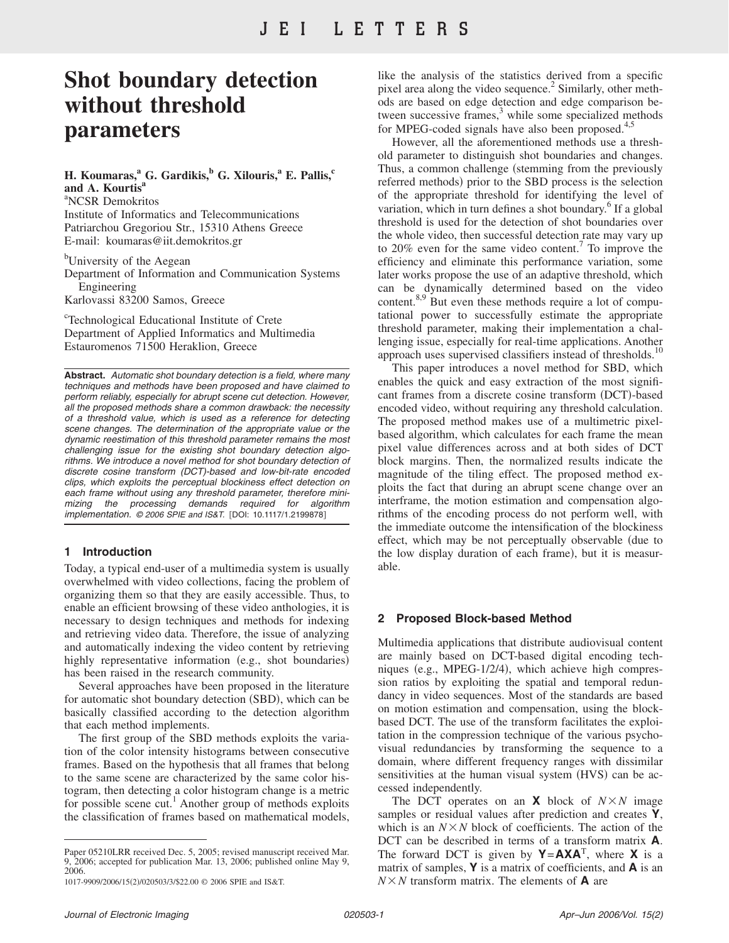# **Shot boundary detection without threshold parameters**

# **H. Koumaras,<sup>a</sup> G. Gardikis,<sup>b</sup> G. Xilouris,<sup>a</sup> E. Pallis,<sup>c</sup>** and A. Kourtis

a NCSR Demokritos Institute of Informatics and Telecommunications Patriarchou Gregoriou Str., 15310 Athens Greece E-mail: koumaras@iit.demokritos.gr

<sup>b</sup>University of the Aegean

Department of Information and Communication Systems Engineering Karlovassi 83200 Samos, Greece

c Technological Educational Institute of Crete Department of Applied Informatics and Multimedia Estauromenos 71500 Heraklion, Greece

**Abstract.** *Automatic shot boundary detection is a field, where many techniques and methods have been proposed and have claimed to perform reliably, especially for abrupt scene cut detection. However, all the proposed methods share a common drawback: the necessity of a threshold value, which is used as a reference for detecting scene changes. The determination of the appropriate value or the dynamic reestimation of this threshold parameter remains the most challenging issue for the existing shot boundary detection algorithms. We introduce a novel method for shot boundary detection of discrete cosine transform (DCT)-based and low-bit-rate encoded clips, which exploits the perceptual blockiness effect detection on each frame without using any threshold parameter, therefore minimizing the processing demands required for algorithm implementation.* © 2006 SPIE and IS&T. [DOI: 10.1117/1.2199878]

## **1 Introduction**

Today, a typical end-user of a multimedia system is usually overwhelmed with video collections, facing the problem of organizing them so that they are easily accessible. Thus, to enable an efficient browsing of these video anthologies, it is necessary to design techniques and methods for indexing and retrieving video data. Therefore, the issue of analyzing and automatically indexing the video content by retrieving highly representative information (e.g., shot boundaries) has been raised in the research community.

Several approaches have been proposed in the literature for automatic shot boundary detection (SBD), which can be basically classified according to the detection algorithm that each method implements.

The first group of the SBD methods exploits the variation of the color intensity histograms between consecutive frames. Based on the hypothesis that all frames that belong to the same scene are characterized by the same color histogram, then detecting a color histogram change is a metric for possible scene cut.<sup>1</sup> Another group of methods exploits the classification of frames based on mathematical models,

Paper 05210LRR received Dec. 5, 2005; revised manuscript received Mar. 9, 2006; accepted for publication Mar. 13, 2006; published online May 9, 2006.

like the analysis of the statistics derived from a specific pixel area along the video sequence.<sup>2</sup> Similarly, other methods are based on edge detection and edge comparison between successive frames, $3$  while some specialized methods for MPEG-coded signals have also been proposed.<sup>4,</sup>

However, all the aforementioned methods use a threshold parameter to distinguish shot boundaries and changes. Thus, a common challenge (stemming from the previously referred methods) prior to the SBD process is the selection of the appropriate threshold for identifying the level of variation, which in turn defines a shot boundary.<sup>6</sup> If a global threshold is used for the detection of shot boundaries over the whole video, then successful detection rate may vary up to 20% even for the same video content.<sup>7</sup> To improve the efficiency and eliminate this performance variation, some later works propose the use of an adaptive threshold, which can be dynamically determined based on the video content.<sup>8,9</sup> But even these methods require a lot of computational power to successfully estimate the appropriate threshold parameter, making their implementation a challenging issue, especially for real-time applications. Another approach uses supervised classifiers instead of thresholds.<sup>10</sup>

This paper introduces a novel method for SBD, which enables the quick and easy extraction of the most significant frames from a discrete cosine transform (DCT)-based encoded video, without requiring any threshold calculation. The proposed method makes use of a multimetric pixelbased algorithm, which calculates for each frame the mean pixel value differences across and at both sides of DCT block margins. Then, the normalized results indicate the magnitude of the tiling effect. The proposed method exploits the fact that during an abrupt scene change over an interframe, the motion estimation and compensation algorithms of the encoding process do not perform well, with the immediate outcome the intensification of the blockiness effect, which may be not perceptually observable (due to the low display duration of each frame), but it is measurable.

## **2 Proposed Block-based Method**

Multimedia applications that distribute audiovisual content are mainly based on DCT-based digital encoding techniques (e.g., MPEG-1/2/4), which achieve high compression ratios by exploiting the spatial and temporal redundancy in video sequences. Most of the standards are based on motion estimation and compensation, using the blockbased DCT. The use of the transform facilitates the exploitation in the compression technique of the various psychovisual redundancies by transforming the sequence to a domain, where different frequency ranges with dissimilar sensitivities at the human visual system (HVS) can be accessed independently.

The DCT operates on an **X** block of  $N \times N$  image samples or residual values after prediction and creates **Y**, which is an  $N \times N$  block of coefficients. The action of the DCT can be described in terms of a transform matrix **A**. The forward DCT is given by  $Y = AXA^T$ , where **X** is a matrix of samples, **Y** is a matrix of coefficients, and **A** is an  $N \times N$  transform matrix. The elements of **A** are

<sup>1017-9909/2006/15(2)/020503/3/\$22.00 @ 2006</sup> SPIE and IS&T.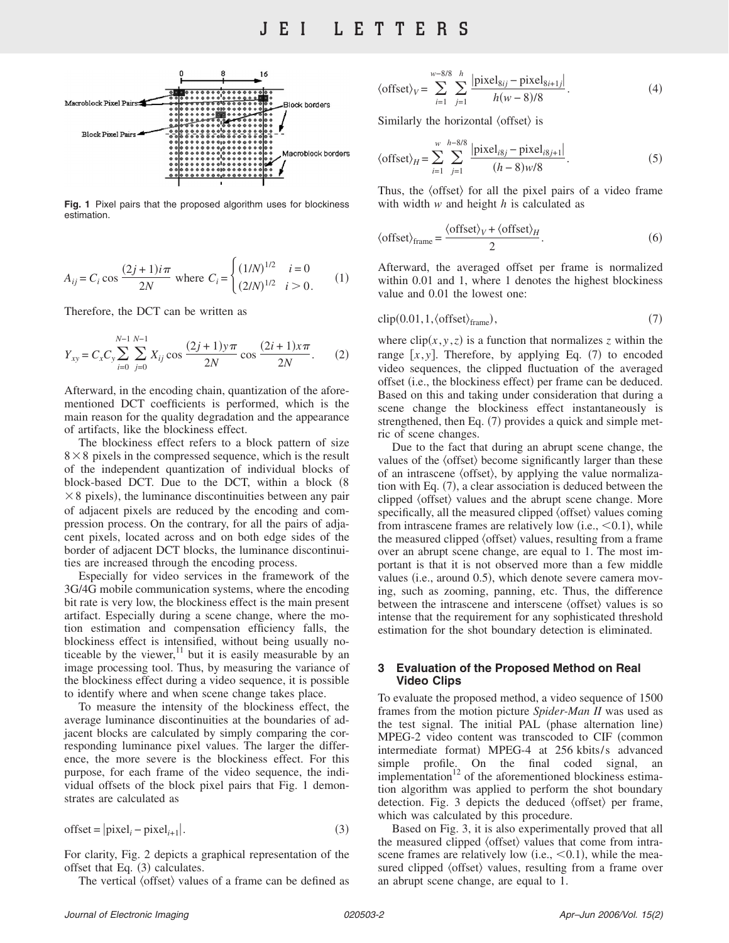

**Fig. 1** Pixel pairs that the proposed algorithm uses for blockiness estimation.

$$
A_{ij} = C_i \cos \frac{(2j+1)i\pi}{2N} \text{ where } C_i = \begin{cases} (1/N)^{1/2} & i = 0\\ (2/N)^{1/2} & i > 0. \end{cases} \tag{1}
$$

Therefore, the DCT can be written as

$$
Y_{xy} = C_x C_y \sum_{i=0}^{N-1} \sum_{j=0}^{N-1} X_{ij} \cos \frac{(2j+1)y\pi}{2N} \cos \frac{(2i+1)x\pi}{2N}.
$$
 (2)

Afterward, in the encoding chain, quantization of the aforementioned DCT coefficients is performed, which is the main reason for the quality degradation and the appearance of artifacts, like the blockiness effect.

The blockiness effect refers to a block pattern of size  $8 \times 8$  pixels in the compressed sequence, which is the result of the independent quantization of individual blocks of block-based DCT. Due to the DCT, within a block (8)  $\times$  8 pixels), the luminance discontinuities between any pair of adjacent pixels are reduced by the encoding and compression process. On the contrary, for all the pairs of adjacent pixels, located across and on both edge sides of the border of adjacent DCT blocks, the luminance discontinuities are increased through the encoding process.

Especially for video services in the framework of the 3G/4G mobile communication systems, where the encoding bit rate is very low, the blockiness effect is the main present artifact. Especially during a scene change, where the motion estimation and compensation efficiency falls, the blockiness effect is intensified, without being usually noticeable by the viewer,<sup>11</sup> but it is easily measurable by an image processing tool. Thus, by measuring the variance of the blockiness effect during a video sequence, it is possible to identify where and when scene change takes place.

To measure the intensity of the blockiness effect, the average luminance discontinuities at the boundaries of adjacent blocks are calculated by simply comparing the corresponding luminance pixel values. The larger the difference, the more severe is the blockiness effect. For this purpose, for each frame of the video sequence, the individual offsets of the block pixel pairs that Fig. 1 demonstrates are calculated as

$$
offset = |pixel_i - pixel_{i+1}|.
$$
 (3)

For clarity, Fig. 2 depicts a graphical representation of the offset that Eq.  $(3)$  calculates.

The vertical  $\langle$  offset $\rangle$  values of a frame can be defined as

$$
\langle \text{offset} \rangle_V = \sum_{i=1}^{w-8/8} \sum_{j=1}^{h} \frac{|\text{pixel}_{8ij} - \text{pixel}_{8i+1j}|}{h(w-8)/8}.
$$
 (4)

Similarly the horizontal  $\langle$  offset $\rangle$  is

$$
\langle \text{offset} \rangle_H = \sum_{i=1}^w \sum_{j=1}^{h-8/8} \frac{|\text{pixel}_{i8j} - \text{pixel}_{i8j+1}|}{(h-8)w/8}.
$$
 (5)

Thus, the  $\langle \text{offset} \rangle$  for all the pixel pairs of a video frame with width *w* and height *h* is calculated as

$$
\langle \text{offset} \rangle_{\text{frame}} = \frac{\langle \text{offset} \rangle_V + \langle \text{offset} \rangle_H}{2}.
$$
 (6)

Afterward, the averaged offset per frame is normalized within 0.01 and 1, where 1 denotes the highest blockiness value and 0.01 the lowest one:

$$
clip(0.01, 1, \langle offset \rangle_{frame}), \qquad (7)
$$

where  $\text{clip}(x, y, z)$  is a function that normalizes *z* within the range  $[x, y]$ . Therefore, by applying Eq. (7) to encoded video sequences, the clipped fluctuation of the averaged offset (i.e., the blockiness effect) per frame can be deduced. Based on this and taking under consideration that during a scene change the blockiness effect instantaneously is strengthened, then Eq. (7) provides a quick and simple metric of scene changes.

Due to the fact that during an abrupt scene change, the values of the  $\langle$  offset $\rangle$  become significantly larger than these of an intrascene  $\langle$  offset $\rangle$ , by applying the value normalization with Eq. (7), a clear association is deduced between the clipped  $\langle$  offset $\rangle$  values and the abrupt scene change. More specifically, all the measured clipped  $\langle$  offset $\rangle$  values coming from intrascene frames are relatively low (i.e.,  $<$  0.1), while the measured clipped  $\langle$  offset $\rangle$  values, resulting from a frame over an abrupt scene change, are equal to 1. The most important is that it is not observed more than a few middle values (i.e., around 0.5), which denote severe camera moving, such as zooming, panning, etc. Thus, the difference between the intrascene and interscene  $\langle$  offset $\rangle$  values is so intense that the requirement for any sophisticated threshold estimation for the shot boundary detection is eliminated.

#### **3 Evaluation of the Proposed Method on Real Video Clips**

To evaluate the proposed method, a video sequence of 1500 frames from the motion picture *Spider-Man II* was used as the test signal. The initial PAL (phase alternation line) MPEG-2 video content was transcoded to CIF (common intermediate format) MPEG-4 at 256 kbits/s advanced simple profile. On the final coded signal, an implementation $12$  of the aforementioned blockiness estimation algorithm was applied to perform the shot boundary detection. Fig. 3 depicts the deduced  $\langle$  offset $\rangle$  per frame, which was calculated by this procedure.

Based on Fig. 3, it is also experimentally proved that all the measured clipped  $\langle$  offset $\rangle$  values that come from intrascene frames are relatively low (i.e.,  $<$  0.1), while the measured clipped  $\langle$  offset $\rangle$  values, resulting from a frame over an abrupt scene change, are equal to 1.